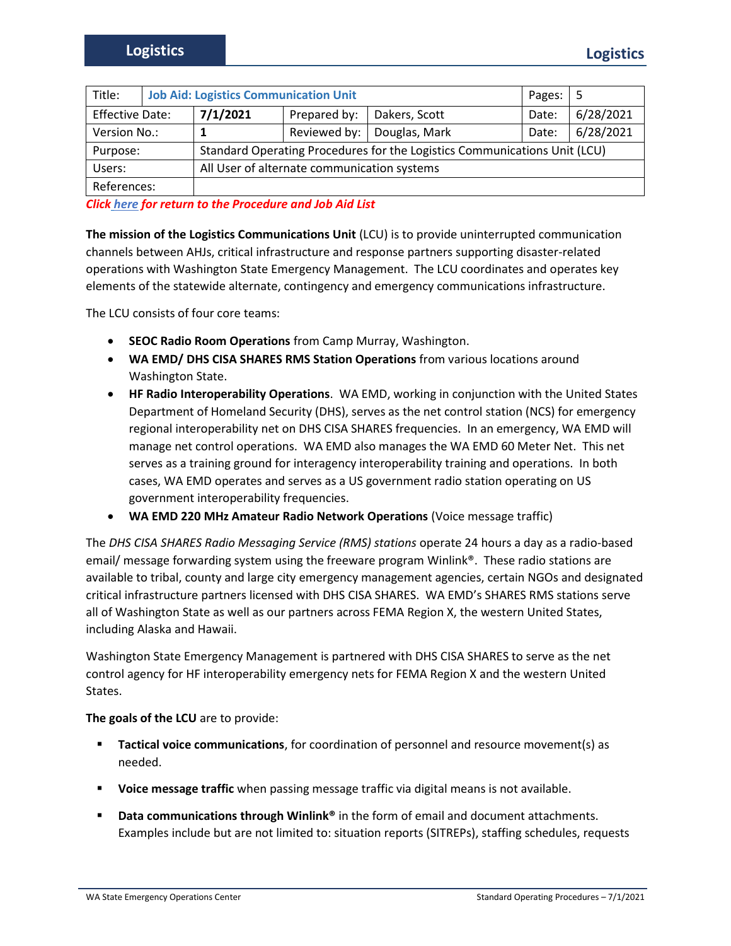| Title:                 | <b>Job Aid: Logistics Communication Unit</b> |                                                                           |              |               | Pages: | -5        |
|------------------------|----------------------------------------------|---------------------------------------------------------------------------|--------------|---------------|--------|-----------|
| <b>Effective Date:</b> |                                              | 7/1/2021                                                                  | Prepared by: | Dakers, Scott | Date:  | 6/28/2021 |
| Version No.:           |                                              |                                                                           | Reviewed by: | Douglas, Mark | Date:  | 6/28/2021 |
| Purpose:               |                                              | Standard Operating Procedures for the Logistics Communications Unit (LCU) |              |               |        |           |
| Users:                 |                                              | All User of alternate communication systems                               |              |               |        |           |
| References:            |                                              |                                                                           |              |               |        |           |

*Click here for return to the Procedure and Job Aid List*

**The mission of the Logistics Communications Unit** (LCU) is to provide uninterrupted communication channels between AHJs, critical infrastructure and response partners supporting disaster-related operations with Washington State Emergency Management. The LCU coordinates and operates key elements of the statewide alternate, contingency and emergency communications infrastructure.

The LCU consists of four core teams:

- **SEOC Radio Room Operations** from Camp Murray, Washington.
- **WA EMD/ DHS CISA SHARES RMS Station Operations** from various locations around Washington State.
- **HF Radio Interoperability Operations**. WA EMD, working in conjunction with the United States Department of Homeland Security (DHS), serves as the net control station (NCS) for emergency regional interoperability net on DHS CISA SHARES frequencies. In an emergency, WA EMD will manage net control operations. WA EMD also manages the WA EMD 60 Meter Net. This net serves as a training ground for interagency interoperability training and operations. In both cases, WA EMD operates and serves as a US government radio station operating on US government interoperability frequencies.
- **WA EMD 220 MHz Amateur Radio Network Operations** (Voice message traffic)

The *DHS CISA SHARES Radio Messaging Service (RMS) stations* operate 24 hours a day as a radio-based email/ message forwarding system using the freeware program Winlink®. These radio stations are available to tribal, county and large city emergency management agencies, certain NGOs and designated critical infrastructure partners licensed with DHS CISA SHARES. WA EMD's SHARES RMS stations serve all of Washington State as well as our partners across FEMA Region X, the western United States, including Alaska and Hawaii.

Washington State Emergency Management is partnered with DHS CISA SHARES to serve as the net control agency for HF interoperability emergency nets for FEMA Region X and the western United States.

**The goals of the LCU** are to provide:

- **Tactical voice communications**, for coordination of personnel and resource movement(s) as needed.
- **Voice message traffic** when passing message traffic via digital means is not available.
- **Data communications through Winlink®** in the form of email and document attachments. Examples include but are not limited to: situation reports (SITREPs), staffing schedules, requests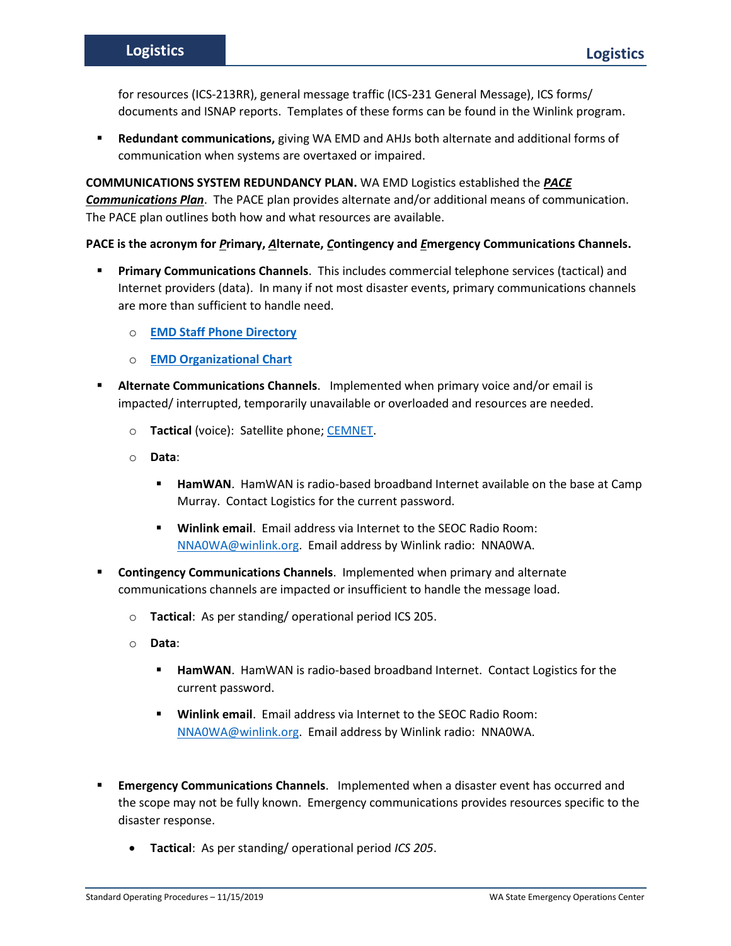for resources (ICS-213RR), general message traffic (ICS-231 General Message), ICS forms/ documents and ISNAP reports. Templates of these forms can be found in the Winlink program.

Redundant communications, giving WA EMD and AHJs both alternate and additional forms of communication when systems are overtaxed or impaired.

**COMMUNICATIONS SYSTEM REDUNDANCY PLAN.** WA EMD Logistics established the *PACE Communications Plan*. The PACE plan provides alternate and/or additional means of communication. The PACE plan outlines both how and what resources are available.

## **PACE is the acronym for** *P***rimary,** *A***lternate,** *C***ontingency and** *E***mergency Communications Channels.**

- **Primary Communications Channels**. This includes commercial telephone services (tactical) and Internet providers (data). In many if not most disaster events, primary communications channels are more than sufficient to handle need.
	- o **[EMD Staff Phone Directory](https://mil.wa.gov/asset/60bab2b871ccd)**
	- o **[EMD Organizational Chart](https://mil.wa.gov/asset/60bab298af0d0)**
- Alternate Communications Channels. Implemented when primary voice and/or email is impacted/ interrupted, temporarily unavailable or overloaded and resources are needed.
	- o **Tactical** (voice): Satellite phone; [CEMNET.](https://mil.wa.gov/emergency-management-radio-systems-comprehensive-emergency-management-network-cemnet)
	- o **Data**:
		- **E** HamWAN. HamWAN is radio-based broadband Internet available on the base at Camp Murray. Contact Logistics for the current password.
		- **Winlink email**. Email address via Internet to the SEOC Radio Room: [NNA0WA@winlink.org.](mailto:NNA0WA@winlink.org) Email address by Winlink radio: NNA0WA.
- **Contingency Communications Channels.** Implemented when primary and alternate communications channels are impacted or insufficient to handle the message load.
	- o **Tactical**: As per standing/ operational period ICS 205.
	- o **Data**:
		- **HamWAN**. HamWAN is radio-based broadband Internet. Contact Logistics for the current password.
		- **Winlink email**. Email address via Internet to the SEOC Radio Room: [NNA0WA@winlink.org.](mailto:NNA0WA@winlink.org) Email address by Winlink radio: NNA0WA.
- **Emergency Communications Channels.** Implemented when a disaster event has occurred and the scope may not be fully known. Emergency communications provides resources specific to the disaster response.
	- **Tactical**: As per standing/ operational period *ICS 205*.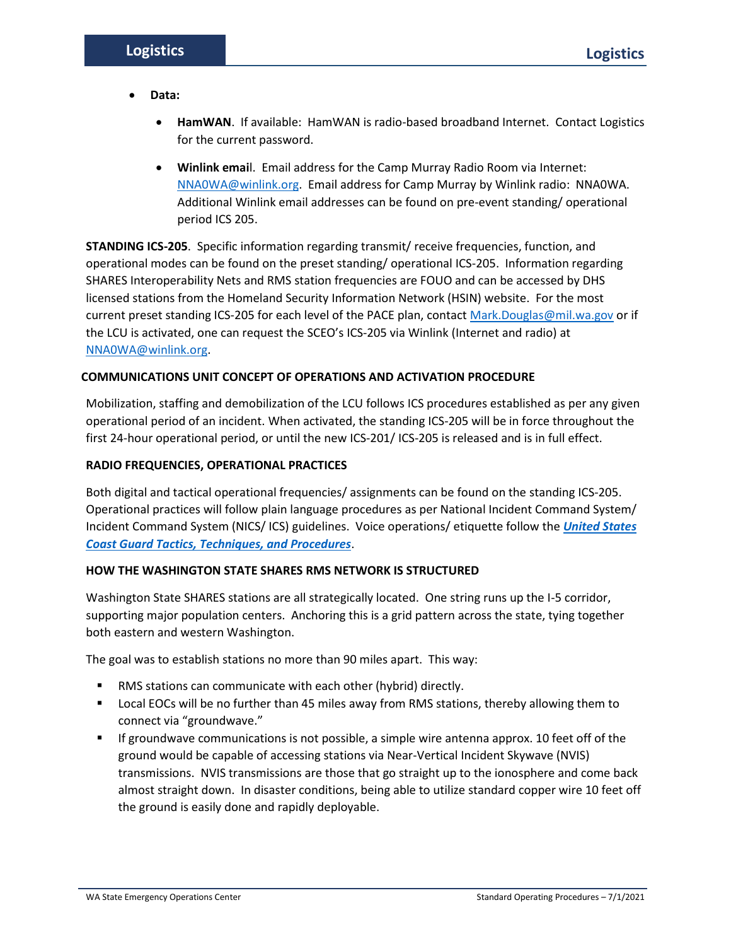- **Data:** 
	- **HamWAN**. If available: HamWAN is radio-based broadband Internet. Contact Logistics for the current password.
	- **Winlink emai**l. Email address for the Camp Murray Radio Room via Internet: [NNA0WA@winlink.org.](mailto:NNA0WA@winlink.org) Email address for Camp Murray by Winlink radio: NNA0WA. Additional Winlink email addresses can be found on pre-event standing/ operational period ICS 205.

**STANDING ICS-205**. Specific information regarding transmit/ receive frequencies, function, and operational modes can be found on the preset standing/ operational ICS-205. Information regarding SHARES Interoperability Nets and RMS station frequencies are FOUO and can be accessed by DHS licensed stations from the Homeland Security Information Network (HSIN) website. For the most current preset standing ICS-205 for each level of the PACE plan, contac[t Mark.Douglas@mil.wa.gov](mailto:Mark.Douglas@mil.wa.gov) or if the LCU is activated, one can request the SCEO's ICS-205 via Winlink (Internet and radio) at [NNA0WA@winlink.org.](mailto:NNA0WA@winlink.org)

# **COMMUNICATIONS UNIT CONCEPT OF OPERATIONS AND ACTIVATION PROCEDURE**

Mobilization, staffing and demobilization of the LCU follows ICS procedures established as per any given operational period of an incident. When activated, the standing ICS-205 will be in force throughout the first 24-hour operational period, or until the new ICS-201/ ICS-205 is released and is in full effect.

# **RADIO FREQUENCIES, OPERATIONAL PRACTICES**

Both digital and tactical operational frequencies/ assignments can be found on the standing ICS-205. Operational practices will follow plain language procedures as per National Incident Command System/ Incident Command System (NICS/ ICS) guidelines. Voice operations/ etiquette follow the *[United States](https://www.cisa.gov/sites/default/files/publications/CGTTP_6-01_1B_Radiotelephone_Handbook.pdf)  [Coast Guard Tactics, Techniques, and Procedures](https://www.cisa.gov/sites/default/files/publications/CGTTP_6-01_1B_Radiotelephone_Handbook.pdf)*.

# **HOW THE WASHINGTON STATE SHARES RMS NETWORK IS STRUCTURED**

Washington State SHARES stations are all strategically located. One string runs up the I-5 corridor, supporting major population centers. Anchoring this is a grid pattern across the state, tying together both eastern and western Washington.

The goal was to establish stations no more than 90 miles apart. This way:

- RMS stations can communicate with each other (hybrid) directly.
- Local EOCs will be no further than 45 miles away from RMS stations, thereby allowing them to connect via "groundwave."
- If groundwave communications is not possible, a simple wire antenna approx. 10 feet off of the ground would be capable of accessing stations via Near-Vertical Incident Skywave (NVIS) transmissions. NVIS transmissions are those that go straight up to the ionosphere and come back almost straight down. In disaster conditions, being able to utilize standard copper wire 10 feet off the ground is easily done and rapidly deployable.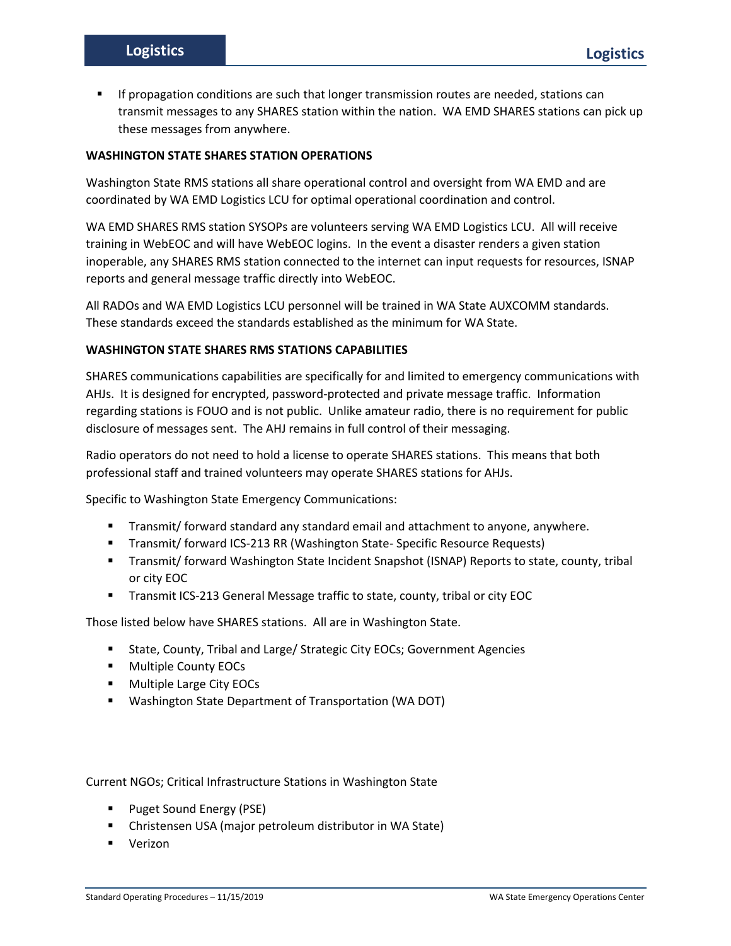If propagation conditions are such that longer transmission routes are needed, stations can transmit messages to any SHARES station within the nation. WA EMD SHARES stations can pick up these messages from anywhere.

## **WASHINGTON STATE SHARES STATION OPERATIONS**

Washington State RMS stations all share operational control and oversight from WA EMD and are coordinated by WA EMD Logistics LCU for optimal operational coordination and control.

WA EMD SHARES RMS station SYSOPs are volunteers serving WA EMD Logistics LCU. All will receive training in WebEOC and will have WebEOC logins. In the event a disaster renders a given station inoperable, any SHARES RMS station connected to the internet can input requests for resources, ISNAP reports and general message traffic directly into WebEOC.

All RADOs and WA EMD Logistics LCU personnel will be trained in WA State AUXCOMM standards. These standards exceed the standards established as the minimum for WA State.

#### **WASHINGTON STATE SHARES RMS STATIONS CAPABILITIES**

SHARES communications capabilities are specifically for and limited to emergency communications with AHJs. It is designed for encrypted, password-protected and private message traffic. Information regarding stations is FOUO and is not public. Unlike amateur radio, there is no requirement for public disclosure of messages sent. The AHJ remains in full control of their messaging.

Radio operators do not need to hold a license to operate SHARES stations. This means that both professional staff and trained volunteers may operate SHARES stations for AHJs.

Specific to Washington State Emergency Communications:

- Transmit/ forward standard any standard email and attachment to anyone, anywhere.
- Transmit/ forward ICS-213 RR (Washington State- Specific Resource Requests)
- Transmit/ forward Washington State Incident Snapshot (ISNAP) Reports to state, county, tribal or city EOC
- Transmit ICS-213 General Message traffic to state, county, tribal or city EOC

Those listed below have SHARES stations. All are in Washington State.

- State, County, Tribal and Large/ Strategic City EOCs; Government Agencies
- Multiple County EOCs
- Multiple Large City EOCs
- Washington State Department of Transportation (WA DOT)

Current NGOs; Critical Infrastructure Stations in Washington State

- Puget Sound Energy (PSE)
- Christensen USA (major petroleum distributor in WA State)
- Verizon